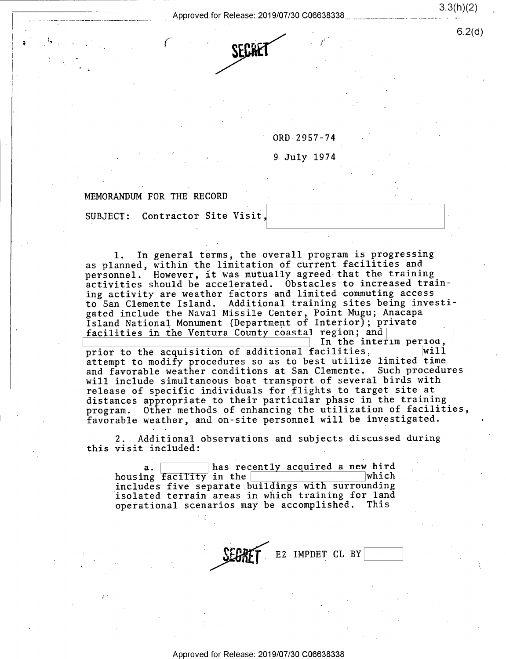

ORD 2957-74

<sup>9</sup>July 1974

(

'

## MEMORANDUM FOR THE RECORD

, the set of  $\mathcal{L}$ 

/

SUBJECT: Contractor Site Visit,

l. In general terms, the overall program is progressing as planned, within the limitation of current facilities and personnel. However, it was mutually agreed that the training activities should be accelerated. Obstacles to increased training activity are weather factors-and limited commuting access to San Clemente Island. Additional training sites being investigated include the Naval Missile Center, Point Mugu; Anacapa Island National Monument (Department of Interior); private facilities in the Ventura County coastal region; and

In the interim period,<br>cilities  $\frac{1}{100}$  will prior to the acquisition of additional facilities, attempt to modify procedures so as to best utilize limited time and favorable weather conditions at San Clemente. Such procedures will include simultaneous boat transport of several birds with release of specific individuals for flights to target site at distances appropriate to their particular phase in the training program. Other methods of enhancing the utilization of facilities, favorable weather, and on-site personnel will be investigated.

2. Additional observations and subjects discussed during this visit included: '

a. a. has recently acquired a new bird<br>housing facility in the which housing facility in the  $\frac{1}{100}$  music  $\frac{1}{100}$  music  $\frac{1}{100}$ includes five separate buildings with surrounding isolated terrain areas in which training for land operational scenarios may be accomplished.

Approved for Release: 2019/07/30 C06638338

E2 IMPDET CL BY

 $\mathsf{O}(\mathsf{Z}(\mathsf{u}))$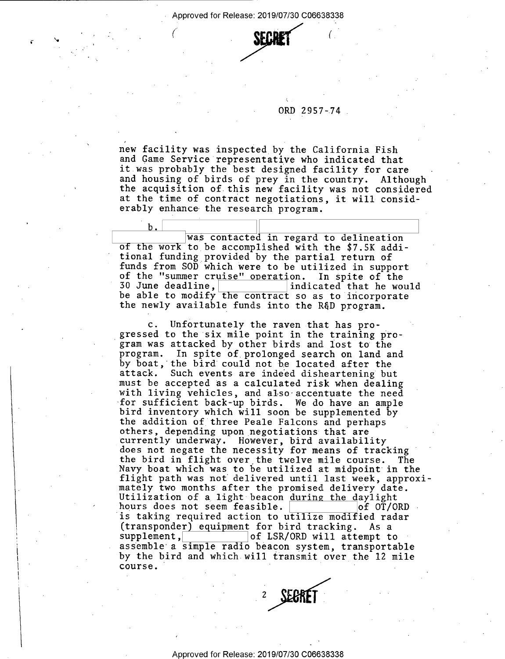- Approved for Release: 2019/07/30 C06638338

, .



## ORD 2957-74

new facility was inspected by the California Fish it was probably the best designed facility for care and housing of birds of prey in the country. Although the acquisition of this new facility was not considered at the time of contract negotiations, it will considerably enhance the research program.

i

was contacted in regard to delineation of the work to be accomplished with the \$7.5K addi-<br>tional funding provided by the partial return of funds from SOD which were to be utilized in support<br>of the "summer cruise" operation. In spite of the of the "summer cruise" operation. In spite of the<br>30 June deadline, indicated that he would 30 June deadline,<br>he able to modify the contract so as to incorporate be able to modify the contract so as to incorporate the newly available funds into the RGD program.

c. Unfortunately the raven that has progressed to the six mile point in the training program was attacked by other birds and lost to the program. In spite of prolonged search on land and by boat, the bird could not be located after the<br>attack. Such events are indeed disheartening but must be accepted as a calculated risk when dealing<br>with living vehicles, and also accentuate the need<br>for sufficient back-up birds. We do have an ample bird inventory which will soon be supplemented by<br>the addition of three Peale Falcons and perhaps<br>others, depending upon negotiations that are currently underway. However, bird availability<br>does not negate the necessity for means of tracking<br>the bird in flight over the twelve mile course. The Navy boat which was to be utilized at midpoint in the flight path was not delivered until last week, approxi-<br>mately two months after the promised delivery date. Utilization of a light beacon during the daylight hours does not seem feasible.  $\begin{array}{|l|} \hline \text{of } OT/ORD \end{array}$ is taking required action to utilize modified radar (transponder) equipment for bird tracking. As a supplement.  $|$  of LSR/ORD will attempt to assemble a simple radio beacon system, transportable by the bird and which will transmit over the 12 mile<br>course.



r